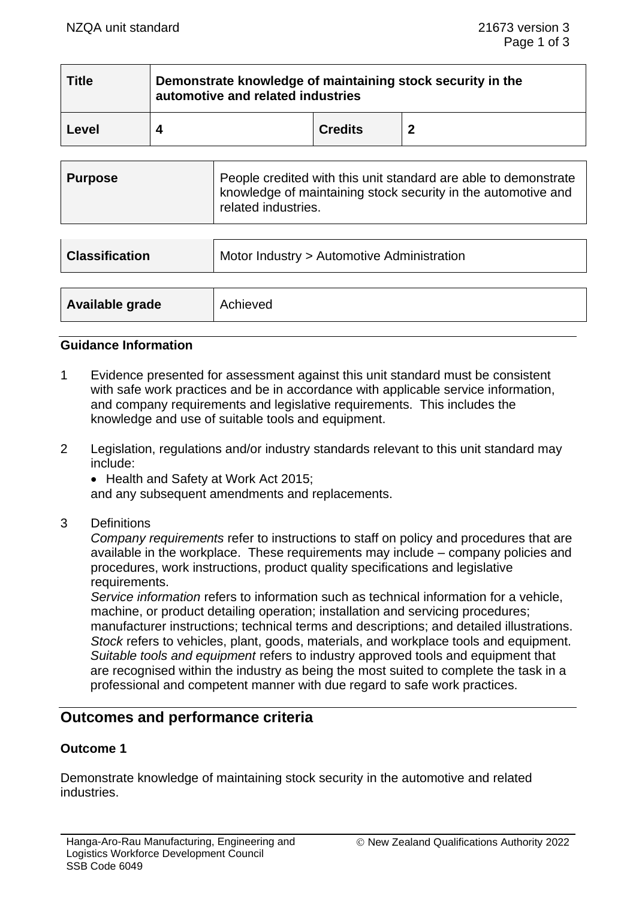| <b>Title</b> | Demonstrate knowledge of maintaining stock security in the<br>automotive and related industries |                |  |
|--------------|-------------------------------------------------------------------------------------------------|----------------|--|
| Level        |                                                                                                 | <b>Credits</b> |  |

| <b>Classification</b> | Motor Industry > Automotive Administration |
|-----------------------|--------------------------------------------|
|                       |                                            |
| Available grade       | Achieved                                   |

#### **Guidance Information**

- 1 Evidence presented for assessment against this unit standard must be consistent with safe work practices and be in accordance with applicable service information, and company requirements and legislative requirements. This includes the knowledge and use of suitable tools and equipment.
- 2 Legislation, regulations and/or industry standards relevant to this unit standard may include:
	- Health and Safety at Work Act 2015;

and any subsequent amendments and replacements.

3 Definitions

*Company requirements* refer to instructions to staff on policy and procedures that are available in the workplace. These requirements may include – company policies and procedures, work instructions, product quality specifications and legislative requirements.

*Service information* refers to information such as technical information for a vehicle, machine, or product detailing operation; installation and servicing procedures; manufacturer instructions; technical terms and descriptions; and detailed illustrations. *Stock* refers to vehicles, plant, goods, materials, and workplace tools and equipment. *Suitable tools and equipment* refers to industry approved tools and equipment that are recognised within the industry as being the most suited to complete the task in a professional and competent manner with due regard to safe work practices.

## **Outcomes and performance criteria**

## **Outcome 1**

Demonstrate knowledge of maintaining stock security in the automotive and related industries.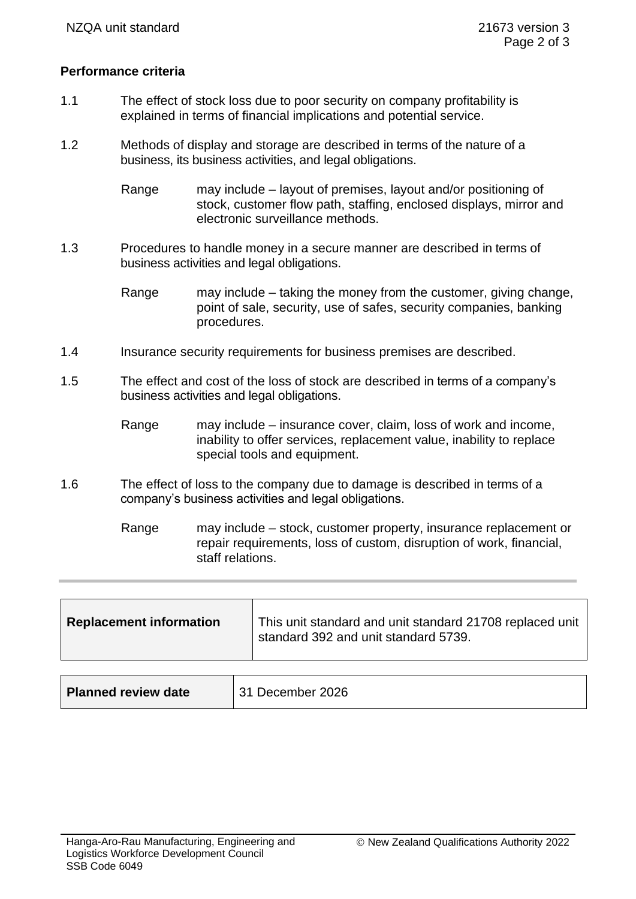## **Performance criteria**

- 1.1 The effect of stock loss due to poor security on company profitability is explained in terms of financial implications and potential service.
- 1.2 Methods of display and storage are described in terms of the nature of a business, its business activities, and legal obligations.
	- Range may include layout of premises, layout and/or positioning of stock, customer flow path, staffing, enclosed displays, mirror and electronic surveillance methods.
- 1.3 Procedures to handle money in a secure manner are described in terms of business activities and legal obligations.

Range may include – taking the money from the customer, giving change, point of sale, security, use of safes, security companies, banking procedures.

- 1.4 Insurance security requirements for business premises are described.
- 1.5 The effect and cost of the loss of stock are described in terms of a company's business activities and legal obligations.
	- Range may include insurance cover, claim, loss of work and income, inability to offer services, replacement value, inability to replace special tools and equipment.
- 1.6 The effect of loss to the company due to damage is described in terms of a company's business activities and legal obligations.

Range may include – stock, customer property, insurance replacement or repair requirements, loss of custom, disruption of work, financial, staff relations.

|--|

| <b>Planned review date</b> | 31 December 2026 |
|----------------------------|------------------|
|                            |                  |